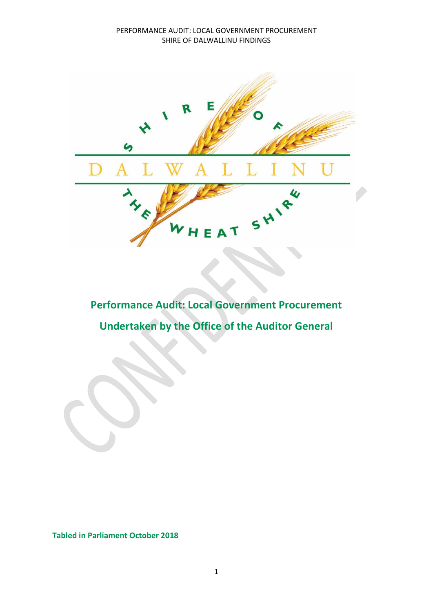

# **Performance Audit: Local Government Procurement Undertaken by the Office of the Auditor General**

**Tabled in Parliament October 2018**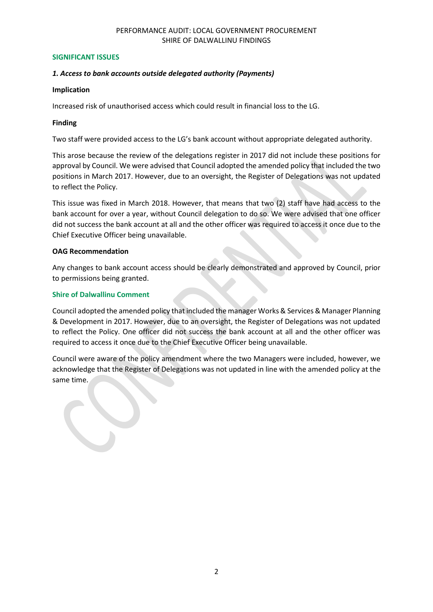#### **SIGNIFICANT ISSUES**

## *1. Access to bank accounts outside delegated authority (Payments)*

#### **Implication**

Increased risk of unauthorised access which could result in financial loss to the LG.

## **Finding**

Two staff were provided access to the LG's bank account without appropriate delegated authority.

This arose because the review of the delegations register in 2017 did not include these positions for approval by Council. We were advised that Council adopted the amended policy that included the two positions in March 2017. However, due to an oversight, the Register of Delegations was not updated to reflect the Policy.

This issue was fixed in March 2018. However, that means that two (2) staff have had access to the bank account for over a year, without Council delegation to do so. We were advised that one officer did not success the bank account at all and the other officer was required to access it once due to the Chief Executive Officer being unavailable.

## **OAG Recommendation**

Any changes to bank account access should be clearly demonstrated and approved by Council, prior to permissions being granted.

## **Shire of Dalwallinu Comment**

Council adopted the amended policy that included the manager Works & Services & Manager Planning & Development in 2017. However, due to an oversight, the Register of Delegations was not updated to reflect the Policy. One officer did not success the bank account at all and the other officer was required to access it once due to the Chief Executive Officer being unavailable.

Council were aware of the policy amendment where the two Managers were included, however, we acknowledge that the Register of Delegations was not updated in line with the amended policy at the same time.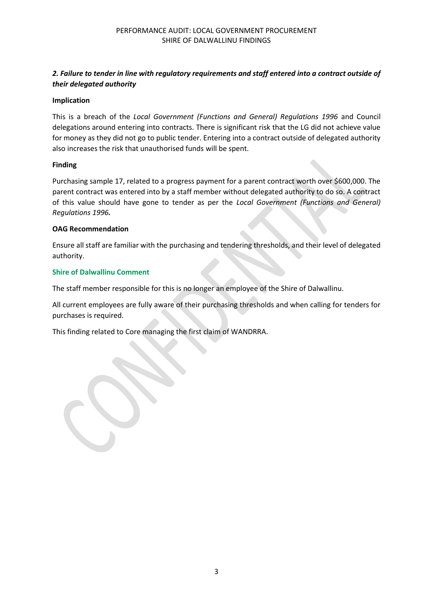# *2. Failure to tender in line with regulatory requirements and staff entered into a contract outside of their delegated authority*

## **Implication**

This is a breach of the *Local Government (Functions and General) Regulations 1996* and Council delegations around entering into contracts. There is significant risk that the LG did not achieve value for money as they did not go to public tender. Entering into a contract outside of delegated authority also increases the risk that unauthorised funds will be spent.

## **Finding**

Purchasing sample 17, related to a progress payment for a parent contract worth over \$600,000. The parent contract was entered into by a staff member without delegated authority to do so. A contract of this value should have gone to tender as per the *Local Government (Functions and General) Regulations 1996.*

## **OAG Recommendation**

Ensure all staff are familiar with the purchasing and tendering thresholds, and their level of delegated authority.

## **Shire of Dalwallinu Comment**

The staff member responsible for this is no longer an employee of the Shire of Dalwallinu.

All current employees are fully aware of their purchasing thresholds and when calling for tenders for purchases is required.

This finding related to Core managing the first claim of WANDRRA.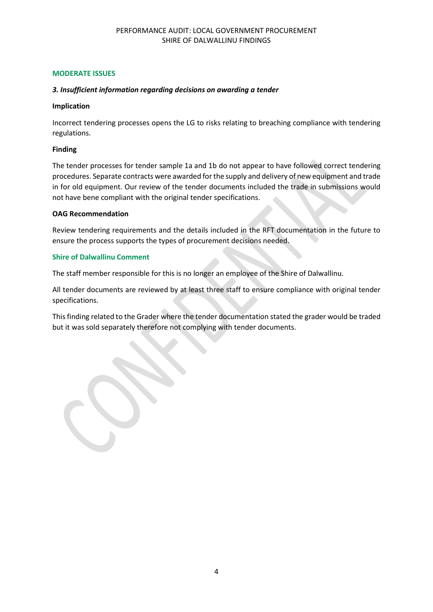## **MODERATE ISSUES**

# *3. Insufficient information regarding decisions on awarding a tender*

## **Implication**

Incorrect tendering processes opens the LG to risks relating to breaching compliance with tendering regulations.

## **Finding**

The tender processes for tender sample 1a and 1b do not appear to have followed correct tendering procedures. Separate contracts were awarded for the supply and delivery of new equipment and trade in for old equipment. Our review of the tender documents included the trade in submissions would not have bene compliant with the original tender specifications.

## **OAG Recommendation**

Review tendering requirements and the details included in the RFT documentation in the future to ensure the process supports the types of procurement decisions needed.

# **Shire of Dalwallinu Comment**

The staff member responsible for this is no longer an employee of the Shire of Dalwallinu.

All tender documents are reviewed by at least three staff to ensure compliance with original tender specifications.

This finding related to the Grader where the tender documentation stated the grader would be traded but it was sold separately therefore not complying with tender documents.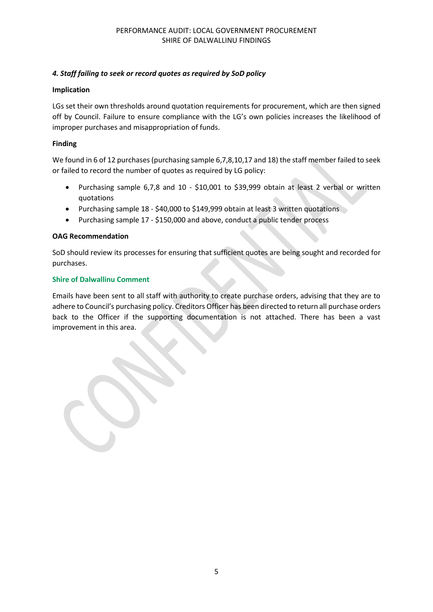# *4. Staff failing to seek or record quotes as required by SoD policy*

## **Implication**

LGs set their own thresholds around quotation requirements for procurement, which are then signed off by Council. Failure to ensure compliance with the LG's own policies increases the likelihood of improper purchases and misappropriation of funds.

## **Finding**

We found in 6 of 12 purchases (purchasing sample 6,7,8,10,17 and 18) the staff member failed to seek or failed to record the number of quotes as required by LG policy:

- Purchasing sample 6,7,8 and 10 \$10,001 to \$39,999 obtain at least 2 verbal or written quotations
- Purchasing sample 18 \$40,000 to \$149,999 obtain at least 3 written quotations
- Purchasing sample 17 \$150,000 and above, conduct a public tender process

## **OAG Recommendation**

SoD should review its processes for ensuring that sufficient quotes are being sought and recorded for purchases.

## **Shire of Dalwallinu Comment**

Emails have been sent to all staff with authority to create purchase orders, advising that they are to adhere to Council's purchasing policy. Creditors Officer has been directed to return all purchase orders back to the Officer if the supporting documentation is not attached. There has been a vast improvement in this area.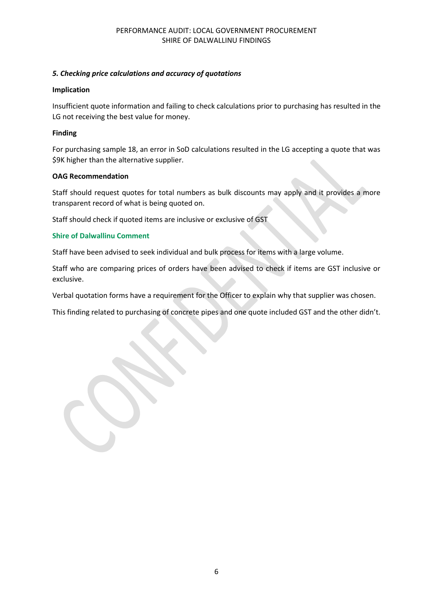## *5. Checking price calculations and accuracy of quotations*

#### **Implication**

Insufficient quote information and failing to check calculations prior to purchasing has resulted in the LG not receiving the best value for money.

#### **Finding**

For purchasing sample 18, an error in SoD calculations resulted in the LG accepting a quote that was \$9K higher than the alternative supplier.

#### **OAG Recommendation**

Staff should request quotes for total numbers as bulk discounts may apply and it provides a more transparent record of what is being quoted on.

Staff should check if quoted items are inclusive or exclusive of GST

## **Shire of Dalwallinu Comment**

Staff have been advised to seek individual and bulk process for items with a large volume.

Staff who are comparing prices of orders have been advised to check if items are GST inclusive or exclusive.

Verbal quotation forms have a requirement for the Officer to explain why that supplier was chosen.

This finding related to purchasing of concrete pipes and one quote included GST and the other didn't.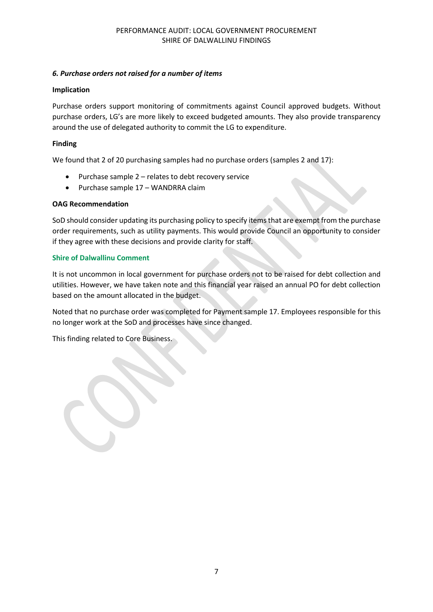## *6. Purchase orders not raised for a number of items*

## **Implication**

Purchase orders support monitoring of commitments against Council approved budgets. Without purchase orders, LG's are more likely to exceed budgeted amounts. They also provide transparency around the use of delegated authority to commit the LG to expenditure.

## **Finding**

We found that 2 of 20 purchasing samples had no purchase orders (samples 2 and 17):

- $\bullet$  Purchase sample 2 relates to debt recovery service
- Purchase sample 17 WANDRRA claim

## **OAG Recommendation**

SoD should consider updating its purchasing policy to specify items that are exempt from the purchase order requirements, such as utility payments. This would provide Council an opportunity to consider if they agree with these decisions and provide clarity for staff.

## **Shire of Dalwallinu Comment**

It is not uncommon in local government for purchase orders not to be raised for debt collection and utilities. However, we have taken note and this financial year raised an annual PO for debt collection based on the amount allocated in the budget.

Noted that no purchase order was completed for Payment sample 17. Employees responsible for this no longer work at the SoD and processes have since changed.

This finding related to Core Business.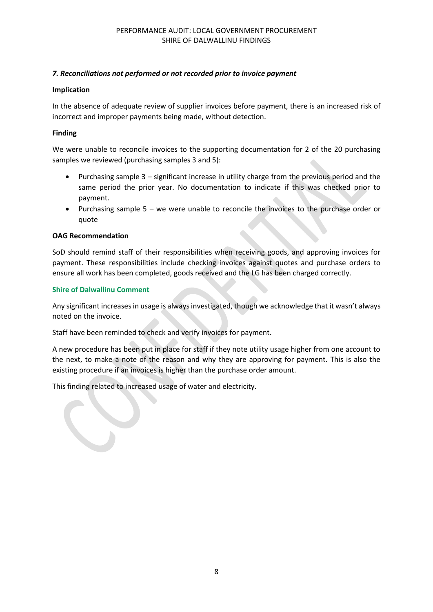# *7. Reconciliations not performed or not recorded prior to invoice payment*

## **Implication**

In the absence of adequate review of supplier invoices before payment, there is an increased risk of incorrect and improper payments being made, without detection.

## **Finding**

We were unable to reconcile invoices to the supporting documentation for 2 of the 20 purchasing samples we reviewed (purchasing samples 3 and 5):

- Purchasing sample 3 significant increase in utility charge from the previous period and the same period the prior year. No documentation to indicate if this was checked prior to payment.
- Purchasing sample 5 we were unable to reconcile the invoices to the purchase order or quote

## **OAG Recommendation**

SoD should remind staff of their responsibilities when receiving goods, and approving invoices for payment. These responsibilities include checking invoices against quotes and purchase orders to ensure all work has been completed, goods received and the LG has been charged correctly.

## **Shire of Dalwallinu Comment**

Any significant increases in usage is always investigated, though we acknowledge that it wasn't always noted on the invoice.

Staff have been reminded to check and verify invoices for payment.

A new procedure has been put in place for staff if they note utility usage higher from one account to the next, to make a note of the reason and why they are approving for payment. This is also the existing procedure if an invoices is higher than the purchase order amount.

This finding related to increased usage of water and electricity.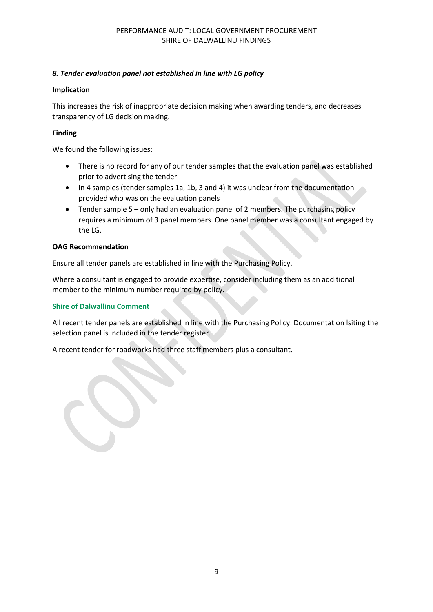# *8. Tender evaluation panel not established in line with LG policy*

## **Implication**

This increases the risk of inappropriate decision making when awarding tenders, and decreases transparency of LG decision making.

## **Finding**

We found the following issues:

- There is no record for any of our tender samples that the evaluation panel was established prior to advertising the tender
- In 4 samples (tender samples 1a, 1b, 3 and 4) it was unclear from the documentation provided who was on the evaluation panels
- Tender sample 5 only had an evaluation panel of 2 members. The purchasing policy requires a minimum of 3 panel members. One panel member was a consultant engaged by the LG.

## **OAG Recommendation**

Ensure all tender panels are established in line with the Purchasing Policy.

Where a consultant is engaged to provide expertise, consider including them as an additional member to the minimum number required by policy.

## **Shire of Dalwallinu Comment**

All recent tender panels are established in line with the Purchasing Policy. Documentation lsiting the selection panel is included in the tender register.

A recent tender for roadworks had three staff members plus a consultant.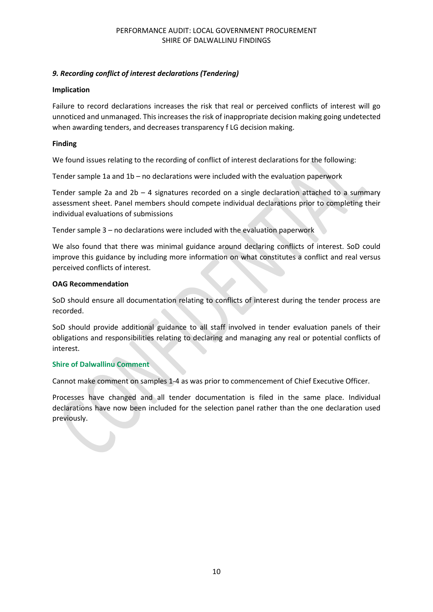# *9. Recording conflict of interest declarations (Tendering)*

## **Implication**

Failure to record declarations increases the risk that real or perceived conflicts of interest will go unnoticed and unmanaged. This increases the risk of inappropriate decision making going undetected when awarding tenders, and decreases transparency f LG decision making.

## **Finding**

We found issues relating to the recording of conflict of interest declarations for the following:

Tender sample 1a and 1b – no declarations were included with the evaluation paperwork

Tender sample 2a and  $2b - 4$  signatures recorded on a single declaration attached to a summary assessment sheet. Panel members should compete individual declarations prior to completing their individual evaluations of submissions

Tender sample 3 – no declarations were included with the evaluation paperwork

We also found that there was minimal guidance around declaring conflicts of interest. SoD could improve this guidance by including more information on what constitutes a conflict and real versus perceived conflicts of interest.

## **OAG Recommendation**

SoD should ensure all documentation relating to conflicts of interest during the tender process are recorded.

SoD should provide additional guidance to all staff involved in tender evaluation panels of their obligations and responsibilities relating to declaring and managing any real or potential conflicts of interest.

## **Shire of Dalwallinu Comment**

Cannot make comment on samples 1-4 as was prior to commencement of Chief Executive Officer.

Processes have changed and all tender documentation is filed in the same place. Individual declarations have now been included for the selection panel rather than the one declaration used previously.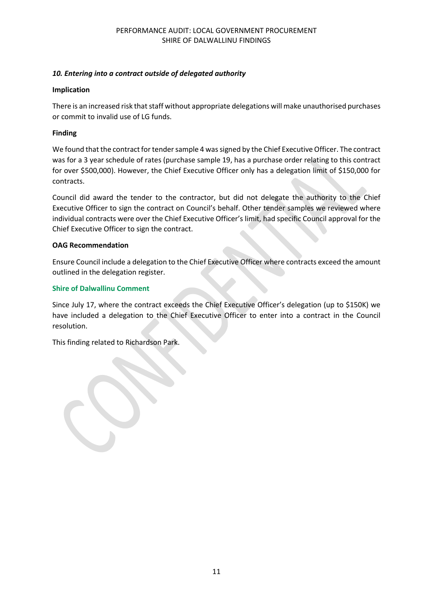# *10. Entering into a contract outside of delegated authority*

## **Implication**

There is an increased risk that staff without appropriate delegations will make unauthorised purchases or commit to invalid use of LG funds.

# **Finding**

We found that the contract for tender sample 4 was signed by the Chief Executive Officer. The contract was for a 3 year schedule of rates (purchase sample 19, has a purchase order relating to this contract for over \$500,000). However, the Chief Executive Officer only has a delegation limit of \$150,000 for contracts.

Council did award the tender to the contractor, but did not delegate the authority to the Chief Executive Officer to sign the contract on Council's behalf. Other tender samples we reviewed where individual contracts were over the Chief Executive Officer's limit, had specific Council approval for the Chief Executive Officer to sign the contract.

## **OAG Recommendation**

Ensure Council include a delegation to the Chief Executive Officer where contracts exceed the amount outlined in the delegation register.

# **Shire of Dalwallinu Comment**

Since July 17, where the contract exceeds the Chief Executive Officer's delegation (up to \$150K) we have included a delegation to the Chief Executive Officer to enter into a contract in the Council resolution.

This finding related to Richardson Park.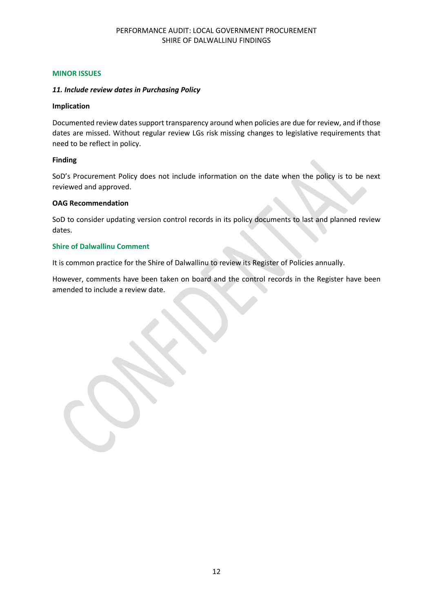## **MINOR ISSUES**

## *11. Include review dates in Purchasing Policy*

#### **Implication**

Documented review dates support transparency around when policies are due for review, and if those dates are missed. Without regular review LGs risk missing changes to legislative requirements that need to be reflect in policy.

## **Finding**

SoD's Procurement Policy does not include information on the date when the policy is to be next reviewed and approved.

## **OAG Recommendation**

SoD to consider updating version control records in its policy documents to last and planned review dates.

## **Shire of Dalwallinu Comment**

It is common practice for the Shire of Dalwallinu to review its Register of Policies annually.

However, comments have been taken on board and the control records in the Register have been amended to include a review date.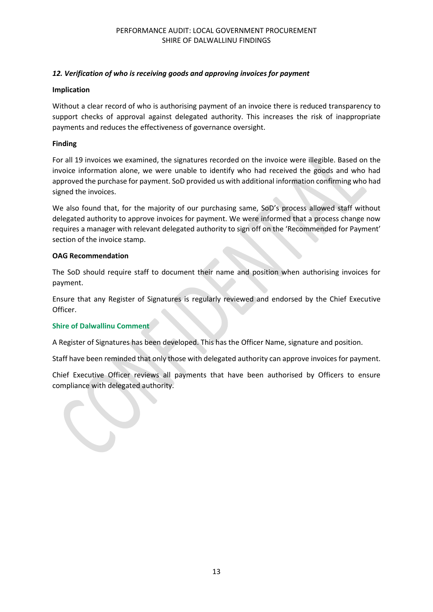# *12. Verification of who is receiving goods and approving invoices for payment*

## **Implication**

Without a clear record of who is authorising payment of an invoice there is reduced transparency to support checks of approval against delegated authority. This increases the risk of inappropriate payments and reduces the effectiveness of governance oversight.

## **Finding**

For all 19 invoices we examined, the signatures recorded on the invoice were illegible. Based on the invoice information alone, we were unable to identify who had received the goods and who had approved the purchase for payment. SoD provided us with additional information confirming who had signed the invoices.

We also found that, for the majority of our purchasing same, SoD's process allowed staff without delegated authority to approve invoices for payment. We were informed that a process change now requires a manager with relevant delegated authority to sign off on the 'Recommended for Payment' section of the invoice stamp.

## **OAG Recommendation**

The SoD should require staff to document their name and position when authorising invoices for payment.

Ensure that any Register of Signatures is regularly reviewed and endorsed by the Chief Executive Officer.

## **Shire of Dalwallinu Comment**

A Register of Signatures has been developed. This has the Officer Name, signature and position.

Staff have been reminded that only those with delegated authority can approve invoices for payment.

Chief Executive Officer reviews all payments that have been authorised by Officers to ensure compliance with delegated authority.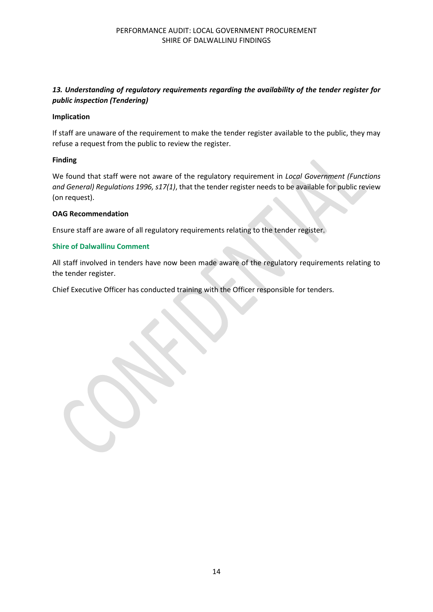# *13. Understanding of regulatory requirements regarding the availability of the tender register for public inspection (Tendering)*

## **Implication**

If staff are unaware of the requirement to make the tender register available to the public, they may refuse a request from the public to review the register.

## **Finding**

We found that staff were not aware of the regulatory requirement in *Local Government (Functions and General) Regulations 1996, s17(1)*, that the tender register needs to be available for public review (on request).

## **OAG Recommendation**

Ensure staff are aware of all regulatory requirements relating to the tender register.

## **Shire of Dalwallinu Comment**

All staff involved in tenders have now been made aware of the regulatory requirements relating to the tender register.

Chief Executive Officer has conducted training with the Officer responsible for tenders.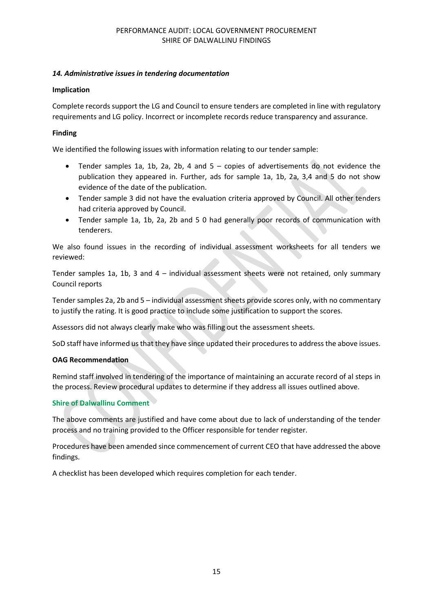## *14. Administrative issues in tendering documentation*

## **Implication**

Complete records support the LG and Council to ensure tenders are completed in line with regulatory requirements and LG policy. Incorrect or incomplete records reduce transparency and assurance.

## **Finding**

We identified the following issues with information relating to our tender sample:

- Tender samples 1a, 1b, 2a, 2b, 4 and 5 copies of advertisements do not evidence the publication they appeared in. Further, ads for sample 1a, 1b, 2a, 3,4 and 5 do not show evidence of the date of the publication.
- Tender sample 3 did not have the evaluation criteria approved by Council. All other tenders had criteria approved by Council.
- Tender sample 1a, 1b, 2a, 2b and 5 0 had generally poor records of communication with tenderers.

We also found issues in the recording of individual assessment worksheets for all tenders we reviewed:

Tender samples 1a, 1b, 3 and 4 – individual assessment sheets were not retained, only summary Council reports

Tender samples 2a, 2b and 5 – individual assessment sheets provide scores only, with no commentary to justify the rating. It is good practice to include some justification to support the scores.

Assessors did not always clearly make who was filling out the assessment sheets.

SoD staff have informed us that they have since updated their procedures to address the above issues.

#### **OAG Recommendation**

Remind staff involved in tendering of the importance of maintaining an accurate record of al steps in the process. Review procedural updates to determine if they address all issues outlined above.

## **Shire of Dalwallinu Comment**

The above comments are justified and have come about due to lack of understanding of the tender process and no training provided to the Officer responsible for tender register.

Procedures have been amended since commencement of current CEO that have addressed the above findings.

A checklist has been developed which requires completion for each tender.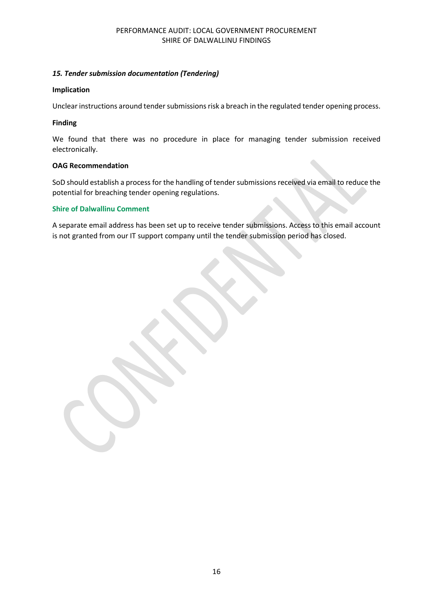## *15. Tender submission documentation (Tendering)*

## **Implication**

Unclear instructions around tender submissions risk a breach in the regulated tender opening process.

## **Finding**

We found that there was no procedure in place for managing tender submission received electronically.

## **OAG Recommendation**

SoD should establish a process for the handling of tender submissions received via email to reduce the potential for breaching tender opening regulations.

## **Shire of Dalwallinu Comment**

A separate email address has been set up to receive tender submissions. Access to this email account is not granted from our IT support company until the tender submission period has closed.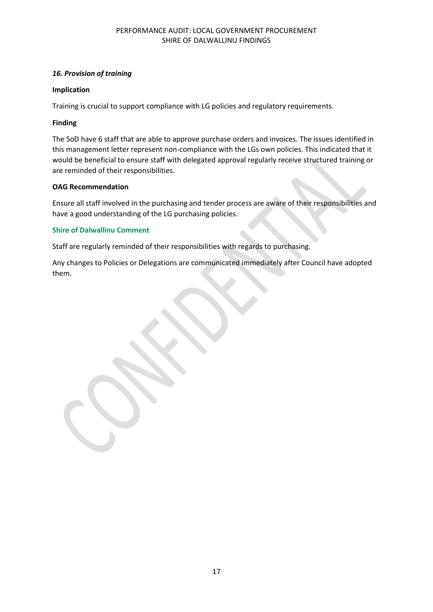## *16. Provision of training*

#### **Implication**

Training is crucial to support compliance with LG policies and regulatory requirements.

## **Finding**

The SoD have 6 staff that are able to approve purchase orders and invoices. The issues identified in this management letter represent non-compliance with the LGs own policies. This indicated that it would be beneficial to ensure staff with delegated approval regularly receive structured training or are reminded of their responsibilities.

## **OAG Recommendation**

Ensure all staff involved in the purchasing and tender process are aware of their responsibilities and have a good understanding of the LG purchasing policies.

## **Shire of Dalwallinu Comment**

Staff are regularly reminded of their responsibilities with regards to purchasing.

Any changes to Policies or Delegations are communicated immediately after Council have adopted them.